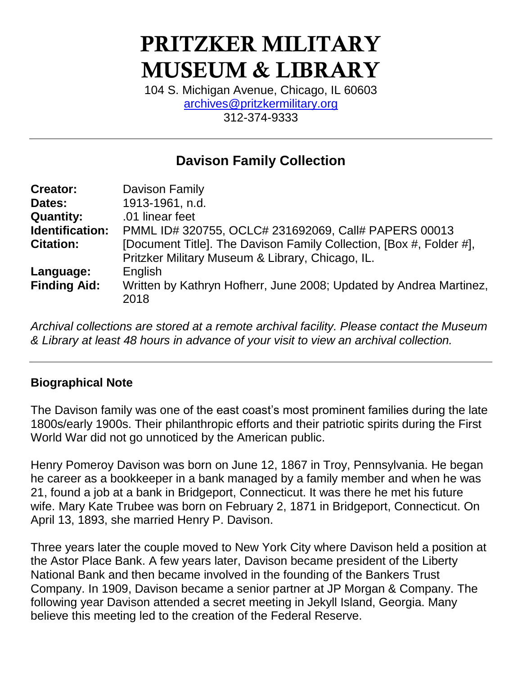# **PRITZKER MILITARY MUSEUM & LIBRARY**

104 S. Michigan Avenue, Chicago, IL 60603 [archives@pritzkermilitary.org](mailto:archives@pritzkermilitary.org) 312-374-9333

# **Davison Family Collection**

| <b>Creator:</b>     | Davison Family                                                                                                          |
|---------------------|-------------------------------------------------------------------------------------------------------------------------|
| Dates:              | 1913-1961, n.d.                                                                                                         |
| <b>Quantity:</b>    | .01 linear feet                                                                                                         |
| Identification:     | PMML ID# 320755, OCLC# 231692069, Call# PAPERS 00013                                                                    |
| <b>Citation:</b>    | [Document Title]. The Davison Family Collection, [Box #, Folder #],<br>Pritzker Military Museum & Library, Chicago, IL. |
| Language:           | English                                                                                                                 |
| <b>Finding Aid:</b> | Written by Kathryn Hofherr, June 2008; Updated by Andrea Martinez,<br>2018                                              |

*Archival collections are stored at a remote archival facility. Please contact the Museum & Library at least 48 hours in advance of your visit to view an archival collection.*

#### **Biographical Note**

The Davison family was one of the east coast's most prominent families during the late 1800s/early 1900s. Their philanthropic efforts and their patriotic spirits during the First World War did not go unnoticed by the American public.

Henry Pomeroy Davison was born on June 12, 1867 in Troy, Pennsylvania. He began he career as a bookkeeper in a bank managed by a family member and when he was 21, found a job at a bank in Bridgeport, Connecticut. It was there he met his future wife. Mary Kate Trubee was born on February 2, 1871 in Bridgeport, Connecticut. On April 13, 1893, she married Henry P. Davison.

Three years later the couple moved to New York City where Davison held a position at the Astor Place Bank. A few years later, Davison became president of the Liberty National Bank and then became involved in the founding of the Bankers Trust Company. In 1909, Davison became a senior partner at JP Morgan & Company. The following year Davison attended a secret meeting in Jekyll Island, Georgia. Many believe this meeting led to the creation of the Federal Reserve.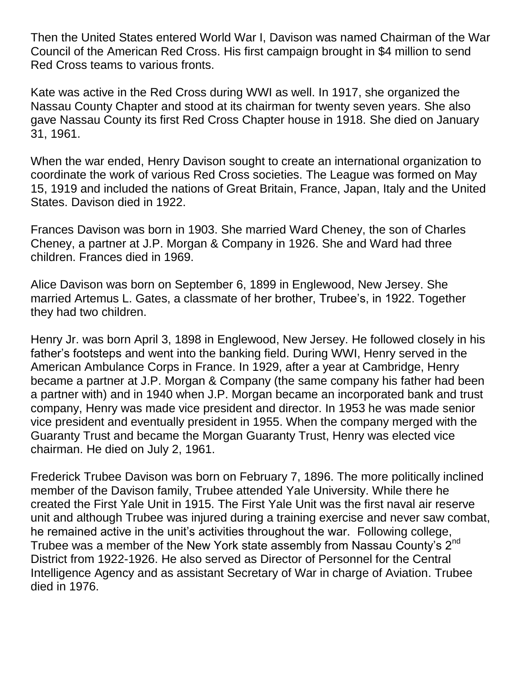Then the United States entered World War I, Davison was named Chairman of the War Council of the American Red Cross. His first campaign brought in \$4 million to send Red Cross teams to various fronts.

Kate was active in the Red Cross during WWI as well. In 1917, she organized the Nassau County Chapter and stood at its chairman for twenty seven years. She also gave Nassau County its first Red Cross Chapter house in 1918. She died on January 31, 1961.

When the war ended, Henry Davison sought to create an international organization to coordinate the work of various Red Cross societies. The League was formed on May 15, 1919 and included the nations of Great Britain, France, Japan, Italy and the United States. Davison died in 1922.

Frances Davison was born in 1903. She married Ward Cheney, the son of Charles Cheney, a partner at J.P. Morgan & Company in 1926. She and Ward had three children. Frances died in 1969.

Alice Davison was born on September 6, 1899 in Englewood, New Jersey. She married Artemus L. Gates, a classmate of her brother, Trubee's, in 1922. Together they had two children.

Henry Jr. was born April 3, 1898 in Englewood, New Jersey. He followed closely in his father's footsteps and went into the banking field. During WWI, Henry served in the American Ambulance Corps in France. In 1929, after a year at Cambridge, Henry became a partner at J.P. Morgan & Company (the same company his father had been a partner with) and in 1940 when J.P. Morgan became an incorporated bank and trust company, Henry was made vice president and director. In 1953 he was made senior vice president and eventually president in 1955. When the company merged with the Guaranty Trust and became the Morgan Guaranty Trust, Henry was elected vice chairman. He died on July 2, 1961.

Frederick Trubee Davison was born on February 7, 1896. The more politically inclined member of the Davison family, Trubee attended Yale University. While there he created the First Yale Unit in 1915. The First Yale Unit was the first naval air reserve unit and although Trubee was injured during a training exercise and never saw combat, he remained active in the unit's activities throughout the war. Following college, Trubee was a member of the New York state assembly from Nassau County's 2<sup>nd</sup> District from 1922-1926. He also served as Director of Personnel for the Central Intelligence Agency and as assistant Secretary of War in charge of Aviation. Trubee died in 1976.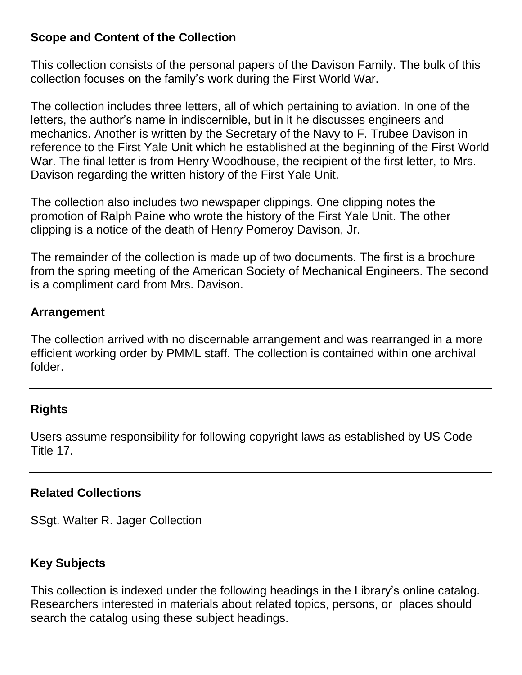#### **Scope and Content of the Collection**

This collection consists of the personal papers of the Davison Family. The bulk of this collection focuses on the family's work during the First World War.

The collection includes three letters, all of which pertaining to aviation. In one of the letters, the author's name in indiscernible, but in it he discusses engineers and mechanics. Another is written by the Secretary of the Navy to F. Trubee Davison in reference to the First Yale Unit which he established at the beginning of the First World War. The final letter is from Henry Woodhouse, the recipient of the first letter, to Mrs. Davison regarding the written history of the First Yale Unit.

The collection also includes two newspaper clippings. One clipping notes the promotion of Ralph Paine who wrote the history of the First Yale Unit. The other clipping is a notice of the death of Henry Pomeroy Davison, Jr.

The remainder of the collection is made up of two documents. The first is a brochure from the spring meeting of the American Society of Mechanical Engineers. The second is a compliment card from Mrs. Davison.

# **Arrangement**

The collection arrived with no discernable arrangement and was rearranged in a more efficient working order by PMML staff. The collection is contained within one archival folder.

# **Rights**

Users assume responsibility for following copyright laws as established by US Code Title 17.

# **Related Collections**

SSgt. Walter R. Jager Collection

# **Key Subjects**

This collection is indexed under the following headings in the Library's online catalog. Researchers interested in materials about related topics, persons, or places should search the catalog using these subject headings.